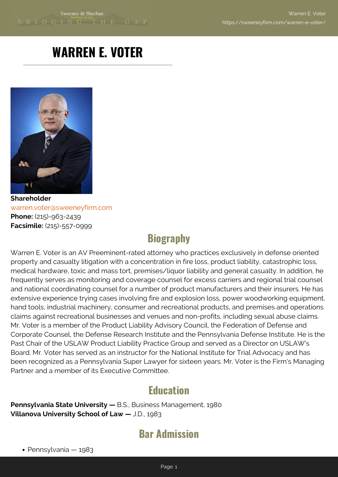# **WARREN E. VOTER**



**Shareholder** [warren.voter@sweeneyfirm.com](mailto:warren.voter@sweeneyfirm.com) **Phone:** (215)-963-2439 **Facsimile:** (215)-557-0999

## **Biography**

Warren E. Voter is an AV Preeminent-rated attorney who practices exclusively in defense oriented property and casualty litigation with a concentration in fire loss, product liability, catastrophic loss, medical hardware, toxic and mass tort, premises/liquor liability and general casualty. In addition, he frequently serves as monitoring and coverage counsel for excess carriers and regional trial counsel and national coordinating counsel for a number of product manufacturers and their insurers. He has extensive experience trying cases involving fire and explosion loss, power woodworking equipment, hand tools, industrial machinery, consumer and recreational products, and premises and operations claims against recreational businesses and venues and non-profits, including sexual abuse claims. Mr. Voter is a member of the Product Liability Advisory Council, the Federation of Defense and Corporate Counsel, the Defense Research Institute and the Pennsylvania Defense Institute. He is the Past Chair of the USLAW Product Liability Practice Group and served as a Director on USLAW's Board. Mr. Voter has served as an instructor for the National Institute for Trial Advocacy and has been recognized as a Pennsylvania Super Lawyer for sixteen years. Mr. Voter is the Firm's Managing Partner and a member of its Executive Committee.

#### **Education**

**Pennsylvania State University —** B.S., Business Management, 1980 **Villanova University School of Law —** J.D., 1983

## **Bar Admission**

• Pennsylvania — 1983